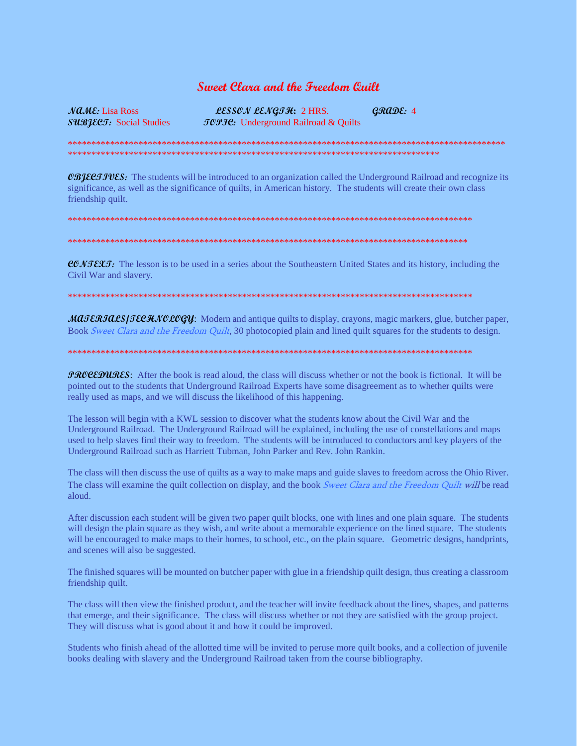## **Sweet Clara and the Freedam Quilt**

 $\mathcal{M}\mathcal{L}\mathcal{M}\mathcal{E}$ : Lisa Ross SUBJECT: Social Studies

LESSON LENGTH: 2 HRS.  $CRADE: 4$ *JOPJC*: Underground Railroad & Quilts

**CBIECTIVES:** The students will be introduced to an organization called the Underground Railroad and recognize its significance, as well as the significance of quilts, in American history. The students will create their own class friendship quilt.

**CONTEXT:** The lesson is to be used in a series about the Southeastern United States and its history, including the Civil War and slavery.

MAJERJALS/JECHNOLOGY: Modern and antique quilts to display, crayons, magic markers, glue, butcher paper, Book Sweet Clara and the Freedom Quilt, 30 photocopied plain and lined quilt squares for the students to design.

*PROCEDURES*: After the book is read aloud, the class will discuss whether or not the book is fictional. It will be pointed out to the students that Underground Railroad Experts have some disagreement as to whether quilts were really used as maps, and we will discuss the likelihood of this happening.

The lesson will begin with a KWL session to discover what the students know about the Civil War and the Underground Railroad. The Underground Railroad will be explained, including the use of constellations and maps used to help slaves find their way to freedom. The students will be introduced to conductors and key players of the Underground Railroad such as Harriett Tubman, John Parker and Rev. John Rankin.

The class will then discuss the use of quilts as a way to make maps and guide slaves to freedom across the Ohio River. The class will examine the quilt collection on display, and the book Sweet Clara and the Freedom Quilt will be read aloud.

After discussion each student will be given two paper quilt blocks, one with lines and one plain square. The students will design the plain square as they wish, and write about a memorable experience on the lined square. The students will be encouraged to make maps to their homes, to school, etc., on the plain square. Geometric designs, handprints, and scenes will also be suggested.

The finished squares will be mounted on butcher paper with glue in a friendship quilt design, thus creating a classroom friendship quilt.

The class will then view the finished product, and the teacher will invite feedback about the lines, shapes, and patterns that emerge, and their significance. The class will discuss whether or not they are satisfied with the group project. They will discuss what is good about it and how it could be improved.

Students who finish ahead of the allotted time will be invited to peruse more quilt books, and a collection of juvenile books dealing with slavery and the Underground Railroad taken from the course bibliography.